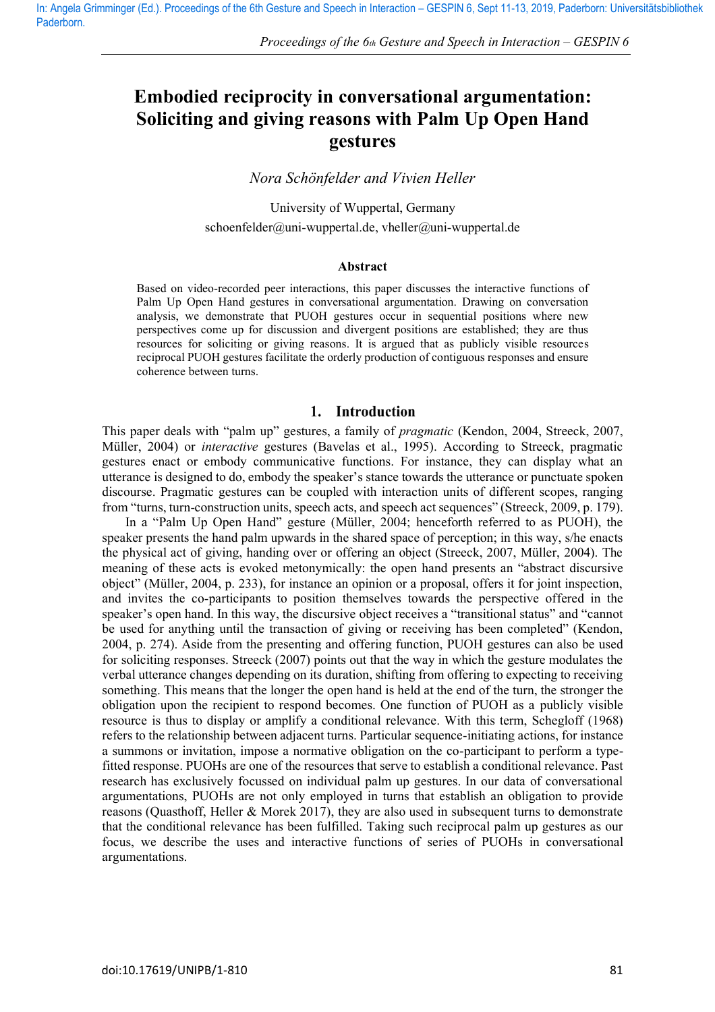# **Embodied reciprocity in conversational argumentation: Soliciting and giving reasons with Palm Up Open Hand gestures**

*Nora Schönfelder and Vivien Heller*

University of Wuppertal, Germany [schoenfelder@uni-wuppertal.de,](mailto:schoenfelder@unu-wuppertal.de) [vheller@uni-wuppertal.de](mailto:vheller@uni-wuppertal.de)

#### **Abstract**

Based on video-recorded peer interactions, this paper discusses the interactive functions of Palm Up Open Hand gestures in conversational argumentation. Drawing on conversation analysis, we demonstrate that PUOH gestures occur in sequential positions where new perspectives come up for discussion and divergent positions are established; they are thus resources for soliciting or giving reasons. It is argued that as publicly visible resources reciprocal PUOH gestures facilitate the orderly production of contiguous responses and ensure coherence between turns.

#### $1<sup>1</sup>$ Introduction

This paper deals with "palm up" gestures, a family of *pragmatic* (Kendon, 2004, Streeck, 2007, Müller, 2004) or *interactive* gestures (Bavelas et al., 1995). According to Streeck, pragmatic gestures enact or embody communicative functions. For instance, they can display what an utterance is designed to do, embody the speaker's stance towards the utterance or punctuate spoken discourse. Pragmatic gestures can be coupled with interaction units of different scopes, ranging from "turns, turn-construction units, speech acts, and speech act sequences" (Streeck, 2009, p. 179).

In a "Palm Up Open Hand" gesture (Muller, 2004; henceforth referred to as PUOH), the speaker presents the hand palm upwards in the shared space of perception; in this way, s/he enacts the physical act of giving, handing over or offering an object (Streeck, 2007, Müller, 2004). The meaning of these acts is evoked metonymically: the open hand presents an "abstract discursive object" (Muller, 2004, p. 233), for instance an opinion or a proposal, offers it for joint inspection, and invites the co-participants to position themselves towards the perspective offered in the speaker's open hand. In this way, the discursive object receives a "transitional status" and "cannot be used for anything until the transaction of giving or receiving has been completed" (Kendon, 2004, p. 274). Aside from the presenting and offering function, PUOH gestures can also be used for soliciting responses. Streeck (2007) points out that the way in which the gesture modulates the verbal utterance changes depending on its duration, shifting from offering to expecting to receiving something. This means that the longer the open hand is held at the end of the turn, the stronger the obligation upon the recipient to respond becomes. One function of PUOH as a publicly visible resource is thus to display or amplify a conditional relevance. With this term, Schegloff (1968) refers to the relationship between adjacent turns. Particular sequence-initiating actions, for instance a summons or invitation, impose a normative obligation on the co-participant to perform a typefitted response. PUOHs are one of the resources that serve to establish a conditional relevance. Past research has exclusively focussed on individual palm up gestures. In our data of conversational argumentations, PUOHs are not only employed in turns that establish an obligation to provide reasons (Quasthoff, Heller & Morek 2017), they are also used in subsequent turns to demonstrate that the conditional relevance has been fulfilled. Taking such reciprocal palm up gestures as our focus, we describe the uses and interactive functions of series of PUOHs in conversational argumentations.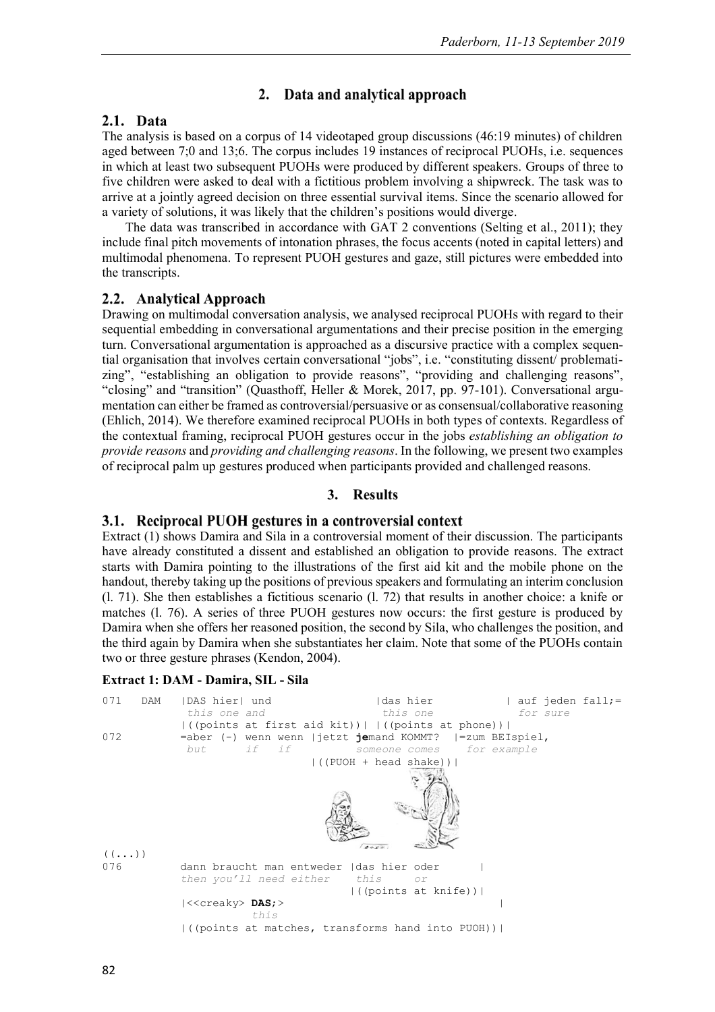### 2. Data and analytical approach

# 2.1. Data

The analysis is based on a corpus of 14 videotaped group discussions (46:19 minutes) of children aged between 7;0 and 13;6. The corpus includes 19 instances of reciprocal PUOHs, i.e. sequences in which at least two subsequent PUOHs were produced by different speakers. Groups of three to five children were asked to deal with a fictitious problem involving a shipwreck. The task was to arrive at a jointly agreed decision on three essential survival items. Since the scenario allowed for a variety of solutions, it was likely that the children's positions would diverge.

The data was transcribed in accordance with GAT 2 conventions (Selting et al., 2011); they include final pitch movements of intonation phrases, the focus accents (noted in capital letters) and multimodal phenomena. To represent PUOH gestures and gaze, still pictures were embedded into the transcripts.

### 2.2. Analytical Approach

Drawing on multimodal conversation analysis, we analysed reciprocal PUOHs with regard to their sequential embedding in conversational argumentations and their precise position in the emerging turn. Conversational argumentation is approached as a discursive practice with a complex sequential organisation that involves certain conversational "jobs", i.e. "constituting dissent/ problematizing", "establishing an obligation to provide reasons", "providing and challenging reasons", "closing" and "transition" (Quasthoff, Heller & Morek, 2017, pp. 97-101). Conversational argumentation can either be framed as controversial/persuasive or as consensual/collaborative reasoning (Ehlich, 2014). We therefore examined reciprocal PUOHs in both types of contexts. Regardless of the contextual framing, reciprocal PUOH gestures occur in the jobs *establishing an obligation to provide reasons* and *providing and challenging reasons*. In the following, we present two examples of reciprocal palm up gestures produced when participants provided and challenged reasons.

#### **Results** 3.

# 3.1. Reciprocal PUOH gestures in a controversial context

Extract (1) shows Damira and Sila in a controversial moment of their discussion. The participants have already constituted a dissent and established an obligation to provide reasons. The extract starts with Damira pointing to the illustrations of the first aid kit and the mobile phone on the handout, thereby taking up the positions of previous speakers and formulating an interim conclusion (l. 71). She then establishes a fictitious scenario (l. 72) that results in another choice: a knife or matches (l. 76). A series of three PUOH gestures now occurs: the first gesture is produced by Damira when she offers her reasoned position, the second by Sila, who challenges the position, and the third again by Damira when she substantiates her claim. Note that some of the PUOHs contain two or three gesture phrases (Kendon, 2004).

#### **Extract 1: DAM - Damira, SIL - Sila**

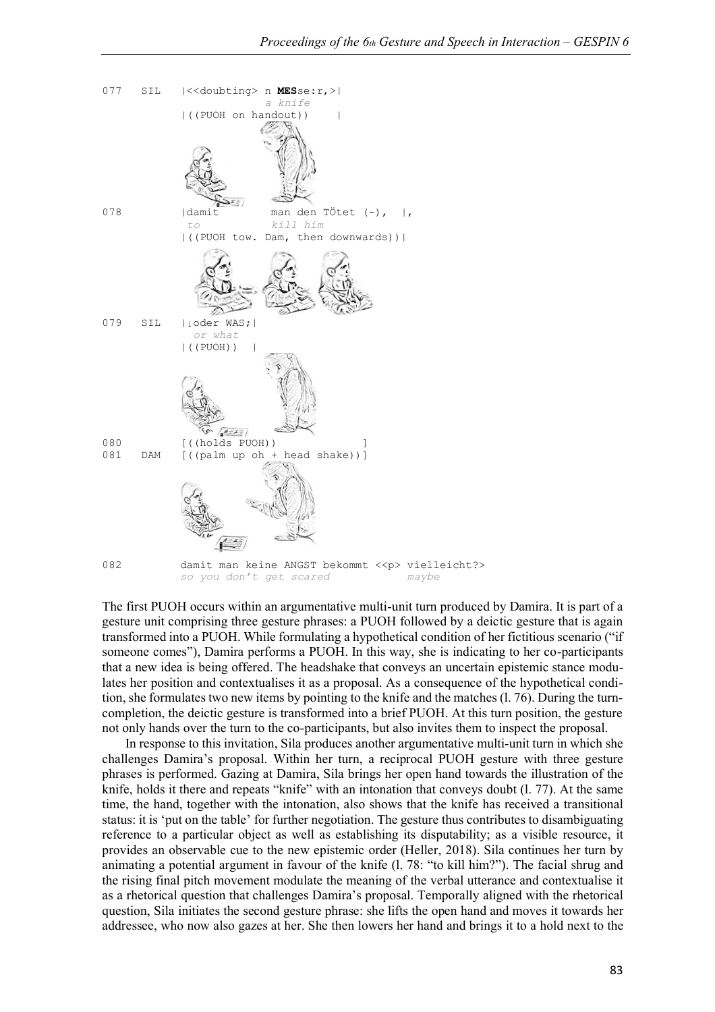

The first PUOH occurs within an argumentative multi-unit turn produced by Damira. It is part of a gesture unit comprising three gesture phrases: a PUOH followed by a deictic gesture that is again transformed into a PUOH. While formulating a hypothetical condition of her fictitious scenario ("if someone comes"), Damira performs a PUOH. In this way, she is indicating to her co-participants that a new idea is being offered. The headshake that conveys an uncertain epistemic stance modulates her position and contextualises it as a proposal. As a consequence of the hypothetical condition, she formulates two new items by pointing to the knife and the matches (l. 76). During the turncompletion, the deictic gesture is transformed into a brief PUOH. At this turn position, the gesture not only hands over the turn to the co-participants, but also invites them to inspect the proposal.

In response to this invitation, Sila produces another argumentative multi-unit turn in which she challenges Damira's proposal. Within her turn, a reciprocal PUOH gesture with three gesture phrases is performed. Gazing at Damira, Sila brings her open hand towards the illustration of the knife, holds it there and repeats "knife" with an intonation that conveys doubt (l. 77). At the same time, the hand, together with the intonation, also shows that the knife has received a transitional status: it is 'put on the table' for further negotiation. The gesture thus contributes to disambiguating reference to a particular object as well as establishing its disputability; as a visible resource, it provides an observable cue to the new epistemic order (Heller, 2018). Sila continues her turn by animating a potential argument in favour of the knife (l. 78: "to kill him?"). The facial shrug and the rising final pitch movement modulate the meaning of the verbal utterance and contextualise it as a rhetorical question that challenges Damira's proposal. Temporally aligned with the rhetorical question, Sila initiates the second gesture phrase: she lifts the open hand and moves it towards her addressee, who now also gazes at her. She then lowers her hand and brings it to a hold next to the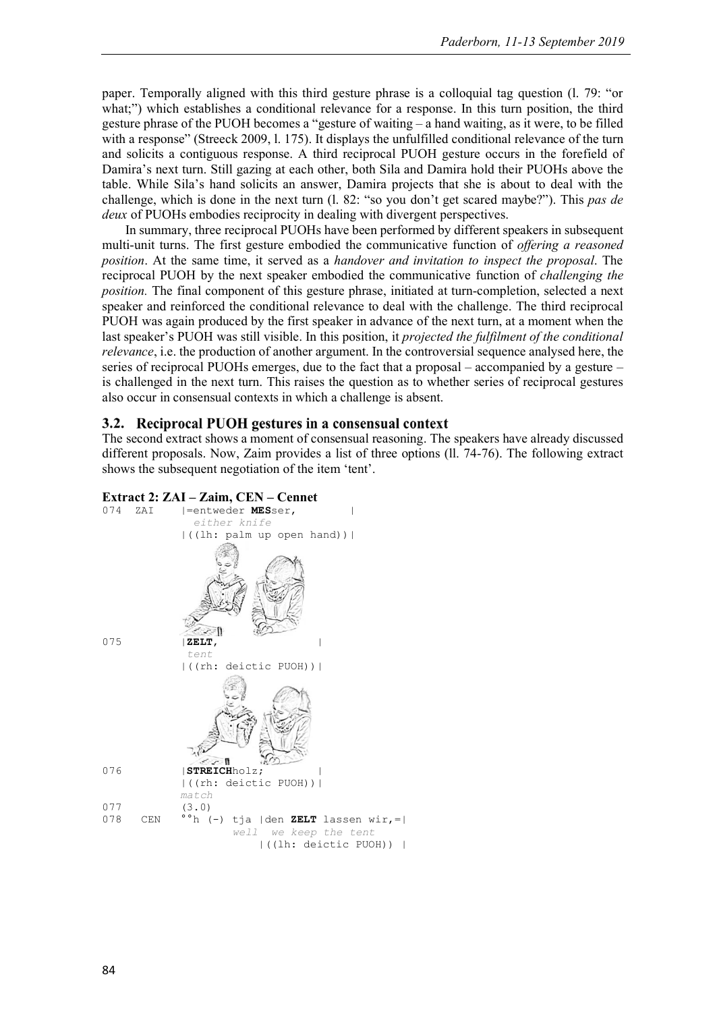paper. Temporally aligned with this third gesture phrase is a colloquial tag question (l. 79: "or what;") which establishes a conditional relevance for a response. In this turn position, the third gesture phrase of the PUOH becomes a "gesture of waiting – a hand waiting, as it were, to be filled with a response" (Streeck 2009, 1, 175). It displays the unfulfilled conditional relevance of the turn and solicits a contiguous response. A third reciprocal PUOH gesture occurs in the forefield of Damira's next turn. Still gazing at each other, both Sila and Damira hold their PUOHs above the table. While Sila's hand solicits an answer, Damira projects that she is about to deal with the challenge, which is done in the next turn (l. 82: "so you don't get scared maybe?"). This *pas de deux* of PUOHs embodies reciprocity in dealing with divergent perspectives.

In summary, three reciprocal PUOHs have been performed by different speakers in subsequent multi-unit turns. The first gesture embodied the communicative function of *offering a reasoned position*. At the same time, it served as a *handover and invitation to inspect the proposal*. The reciprocal PUOH by the next speaker embodied the communicative function of *challenging the position.* The final component of this gesture phrase, initiated at turn-completion, selected a next speaker and reinforced the conditional relevance to deal with the challenge. The third reciprocal PUOH was again produced by the first speaker in advance of the next turn, at a moment when the last speaker's PUOH was still visible. In this position, it *projected the fulfilment of the conditional relevance*, i.e. the production of another argument. In the controversial sequence analysed here, the series of reciprocal PUOHs emerges, due to the fact that a proposal – accompanied by a gesture – is challenged in the next turn. This raises the question as to whether series of reciprocal gestures also occur in consensual contexts in which a challenge is absent.

# 3.2. Reciprocal PUOH gestures in a consensual context

The second extract shows a moment of consensual reasoning. The speakers have already discussed different proposals. Now, Zaim provides a list of three options (ll. 74-76). The following extract shows the subsequent negotiation of the item 'tent'.

### **Extract 2: ZAI – Zaim, CEN – Cennet**

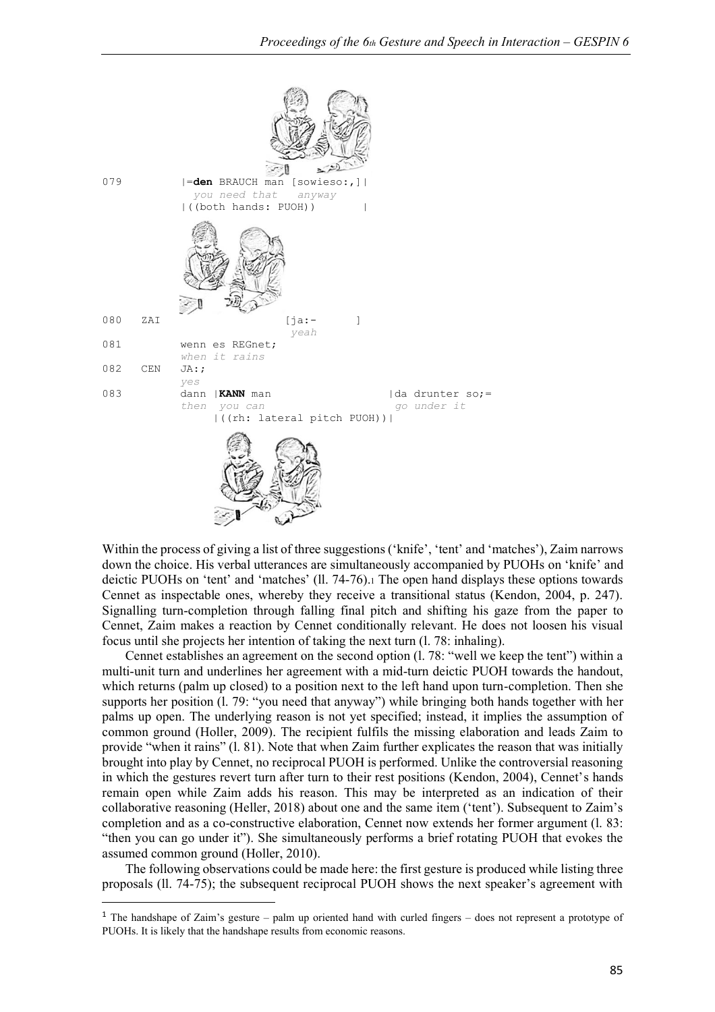

Within the process of giving a list of three suggestions ('knife', 'tent' and 'matches'), Zaim narrows down the choice. His verbal utterances are simultaneously accompanied by PUOHs on 'knife' and deictic PUOHs on 'tent' and 'matches' (ll. 74-76).1 The open hand displays these options towards Cennet as inspectable ones, whereby they receive a transitional status (Kendon, 2004, p. 247). Signalling turn-completion through falling final pitch and shifting his gaze from the paper to Cennet, Zaim makes a reaction by Cennet conditionally relevant. He does not loosen his visual focus until she projects her intention of taking the next turn (l. 78: inhaling).

Cennet establishes an agreement on the second option (l. 78: "well we keep the tent") within a multi-unit turn and underlines her agreement with a mid-turn deictic PUOH towards the handout, which returns (palm up closed) to a position next to the left hand upon turn-completion. Then she supports her position (l. 79: "you need that anyway") while bringing both hands together with her palms up open. The underlying reason is not yet specified; instead, it implies the assumption of common ground (Holler, 2009). The recipient fulfils the missing elaboration and leads Zaim to provide "when it rains" (l. 81). Note that when Zaim further explicates the reason that was initially brought into play by Cennet, no reciprocal PUOH is performed. Unlike the controversial reasoning in which the gestures revert turn after turn to their rest positions (Kendon, 2004), Cennet's hands remain open while Zaim adds his reason. This may be interpreted as an indication of their collaborative reasoning (Heller, 2018) about one and the same item ('tent'). Subsequent to Zaim's completion and as a co-constructive elaboration, Cennet now extends her former argument (l. 83: "then you can go under it"). She simultaneously performs a brief rotating PUOH that evokes the assumed common ground (Holler, 2010).

The following observations could be made here: the first gesture is produced while listing three proposals (ll. 74-75); the subsequent reciprocal PUOH shows the next speaker's agreement with

<sup>&</sup>lt;sup>1</sup> The handshape of Zaim's gesture – palm up oriented hand with curled fingers – does not represent a prototype of PUOHs. It is likely that the handshape results from economic reasons.